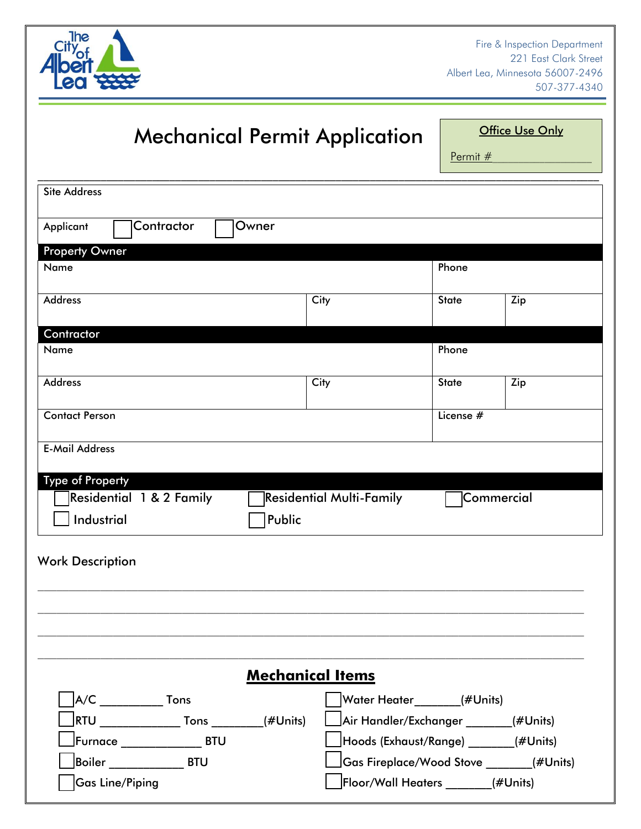

# Mechanical Permit Application

**Office Use Only** 

Permit #

| <b>Site Address</b>                          |                         |                                 |                                       |                                         |  |
|----------------------------------------------|-------------------------|---------------------------------|---------------------------------------|-----------------------------------------|--|
| Contractor<br>Applicant                      | Owner                   |                                 |                                       |                                         |  |
|                                              |                         |                                 |                                       |                                         |  |
| <b>Property Owner</b><br>Name                |                         |                                 | Phone                                 |                                         |  |
|                                              |                         |                                 |                                       |                                         |  |
| <b>Address</b>                               |                         | <b>City</b>                     | <b>State</b>                          | Zip                                     |  |
|                                              |                         |                                 |                                       |                                         |  |
| Contractor                                   |                         |                                 |                                       |                                         |  |
| Name                                         |                         |                                 | Phone                                 |                                         |  |
| <b>Address</b>                               |                         | City                            | <b>State</b>                          | Zip                                     |  |
|                                              |                         |                                 |                                       |                                         |  |
| <b>Contact Person</b>                        |                         |                                 | License $#$                           |                                         |  |
|                                              |                         |                                 |                                       |                                         |  |
| <b>E-Mail Address</b>                        |                         |                                 |                                       |                                         |  |
|                                              |                         |                                 |                                       |                                         |  |
| <b>Type of Property</b>                      |                         |                                 |                                       |                                         |  |
| Residential 1 & 2 Family                     |                         | <b>Residential Multi-Family</b> |                                       | Commercial                              |  |
| Industrial                                   | Public                  |                                 |                                       |                                         |  |
|                                              |                         |                                 |                                       |                                         |  |
|                                              |                         |                                 |                                       |                                         |  |
| <b>Work Description</b>                      |                         |                                 |                                       |                                         |  |
|                                              |                         |                                 |                                       |                                         |  |
|                                              |                         |                                 |                                       |                                         |  |
|                                              |                         |                                 |                                       |                                         |  |
|                                              |                         |                                 |                                       |                                         |  |
|                                              |                         |                                 |                                       |                                         |  |
|                                              | <b>Mechanical Items</b> |                                 |                                       |                                         |  |
| $A/C$ Tons                                   |                         |                                 | Water Heater______(#Units)            |                                         |  |
| RTU ________________ Tons __________(#Units) |                         |                                 | Air Handler/Exchanger _______(#Units) |                                         |  |
| Furnace ________________ BTU                 |                         |                                 | Hoods (Exhaust/Range) _______(#Units) |                                         |  |
| Boiler _________________BTU                  |                         |                                 |                                       | Gas Fireplace/Wood Stove ______(#Units) |  |
|                                              |                         |                                 |                                       |                                         |  |
| <b>Gas Line/Piping</b>                       |                         |                                 | Floor/Wall Heaters (#Units)           |                                         |  |